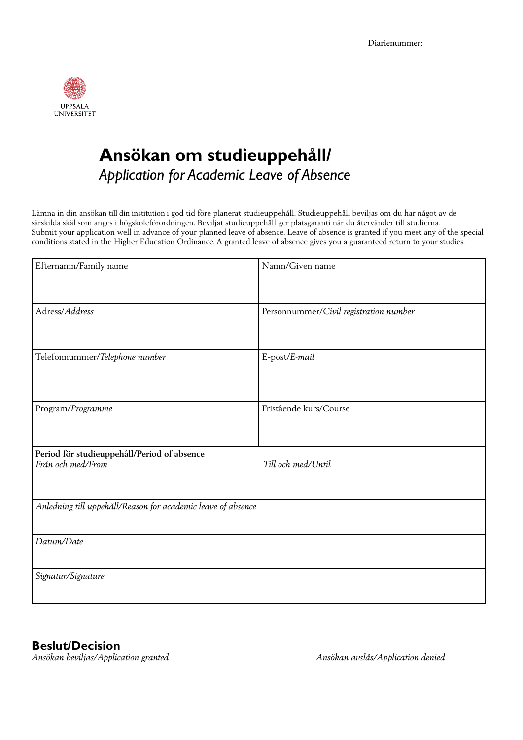

## **Ansökan om studieuppehåll/** *Application for Academic Leave of Absence*

Lämna in din ansökan till din institution i god tid före planerat studieuppehåll. Studieuppehåll beviljas om du har något av de särskilda skäl som anges i högskoleförordningen. Beviljat studieuppehåll ger platsgaranti när du återvänder till studierna. Submit your application well in advance of your planned leave of absence. Leave of absence is granted if you meet any of the special conditions stated in the Higher Education Ordinance. A granted leave of absence gives you a guaranteed return to your studies.

| Efternamn/Family name                                            | Namn/Given name                        |
|------------------------------------------------------------------|----------------------------------------|
| Adress/Address                                                   | Personnummer/Civil registration number |
| Telefonnummer/Telephone number                                   | E-post/E-mail                          |
| Program/Programme                                                | Fristående kurs/Course                 |
| Period för studieuppehåll/Period of absence<br>Från och med/From | Till och med/Until                     |
| Anledning till uppehåll/Reason for academic leave of absence     |                                        |
| Datum/Date                                                       |                                        |
| Signatur/Signature                                               |                                        |

**Beslut/Decision**

*Ansökan beviljas/Application granted Ansökan avslås/Application denied*